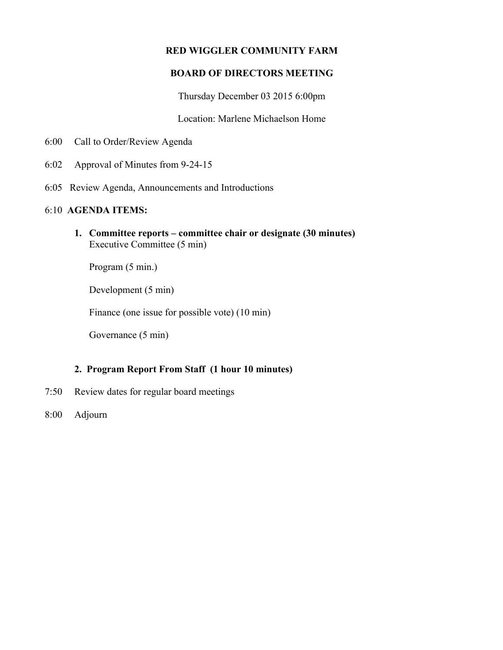# **RED WIGGLER COMMUNITY FARM**

# **BOARD OF DIRECTORS MEETING**

Thursday December 03 2015 6:00pm

Location: Marlene Michaelson Home

- 6:00 Call to Order/Review Agenda
- 6:02 Approval of Minutes from 9-24-15
- 6:05 Review Agenda, Announcements and Introductions

#### 6:10 **AGENDA ITEMS:**

**1. Committee reports – committee chair or designate (30 minutes)** Executive Committee (5 min)

Program (5 min.)

Development (5 min)

Finance (one issue for possible vote) (10 min)

Governance (5 min)

### **2. Program Report From Staff (1 hour 10 minutes)**

- 7:50 Review dates for regular board meetings
- 8:00 Adjourn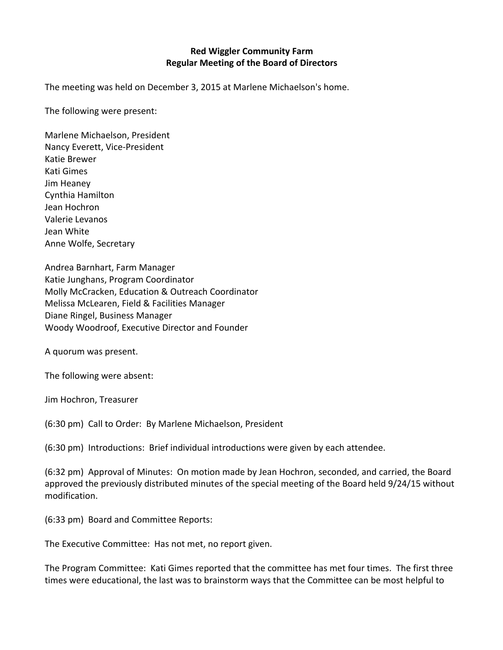### **Red Wiggler Community Farm Regular Meeting of the Board of Directors**

The meeting was held on December 3, 2015 at Marlene Michaelson's home.

The following were present:

Marlene Michaelson, President Nancy Everett, Vice-President Katie Brewer Kati Gimes Jim Heaney Cynthia Hamilton Jean Hochron Valerie Levanos Jean White Anne Wolfe, Secretary

Andrea Barnhart, Farm Manager Katie Junghans, Program Coordinator Molly McCracken, Education & Outreach Coordinator Melissa McLearen, Field & Facilities Manager Diane Ringel, Business Manager Woody Woodroof, Executive Director and Founder

A quorum was present.

The following were absent:

Jim Hochron, Treasurer

(6:30 pm) Call to Order: By Marlene Michaelson, President

 $(6:30 \text{ pm})$  Introductions: Brief individual introductions were given by each attendee.

(6:32 pm) Approval of Minutes: On motion made by Jean Hochron, seconded, and carried, the Board approved the previously distributed minutes of the special meeting of the Board held 9/24/15 without modification.

(6:33 pm) Board and Committee Reports:

The Executive Committee: Has not met, no report given.

The Program Committee: Kati Gimes reported that the committee has met four times. The first three times were educational, the last was to brainstorm ways that the Committee can be most helpful to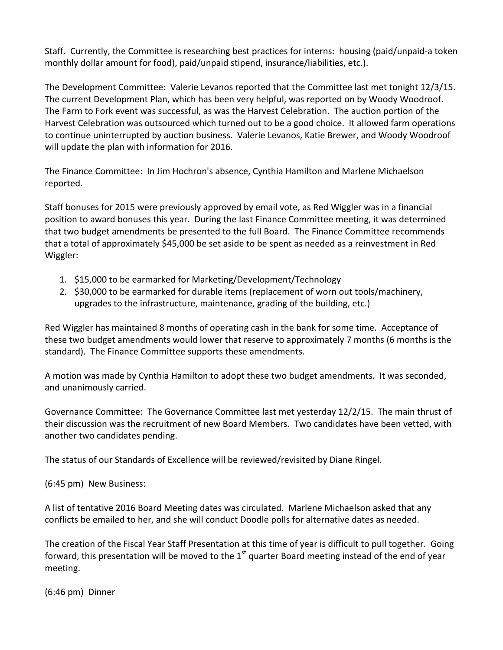Staff. Currently, the Committee is researching best practices for interns: housing (paid/unpaid-a token monthly dollar amount for food), paid/unpaid stipend, insurance/liabilities, etc.).

The Development Committee: Valerie Levanos reported that the Committee last met tonight 12/3/15. The current Development Plan, which has been very helpful, was reported on by Woody Woodroof. The Farm to Fork event was successful, as was the Harvest Celebration. The auction portion of the Harvest Celebration was outsourced which turned out to be a good choice. It allowed farm operations to continue uninterrupted by auction business. Valerie Levanos, Katie Brewer, and Woody Woodroof will update the plan with information for 2016.

The Finance Committee: In Jim Hochron's absence, Cynthia Hamilton and Marlene Michaelson reported.

Staff bonuses for 2015 were previously approved by email vote, as Red Wiggler was in a financial position to award bonuses this year. During the last Finance Committee meeting, it was determined that two budget amendments be presented to the full Board. The Finance Committee recommends that a total of approximately \$45,000 be set aside to be spent as needed as a reinvestment in Red Wiggler:

- 1. \$15,000 to be earmarked for Marketing/Development/Technology
- 2. \$30,000 to be earmarked for durable items (replacement of worn out tools/machinery, upgrades to the infrastructure, maintenance, grading of the building, etc.)

Red Wiggler has maintained 8 months of operating cash in the bank for some time. Acceptance of these two budget amendments would lower that reserve to approximately 7 months (6 months is the standard). The Finance Committee supports these amendments.

A motion was made by Cynthia Hamilton to adopt these two budget amendments. It was seconded, and unanimously carried.

Governance Committee: The Governance Committee last met yesterday 12/2/15. The main thrust of their discussion was the recruitment of new Board Members. Two candidates have been vetted, with another two candidates pending.

The status of our Standards of Excellence will be reviewed/revisited by Diane Ringel.

(6:45 pm) New Business:

A list of tentative 2016 Board Meeting dates was circulated. Marlene Michaelson asked that any conflicts be emailed to her, and she will conduct Doodle polls for alternative dates as needed.

The creation of the Fiscal Year Staff Presentation at this time of year is difficult to pull together. Going forward, this presentation will be moved to the 1<sup>st</sup> quarter Board meeting instead of the end of year meeting.

 $(6:46 \text{ pm})$  Dinner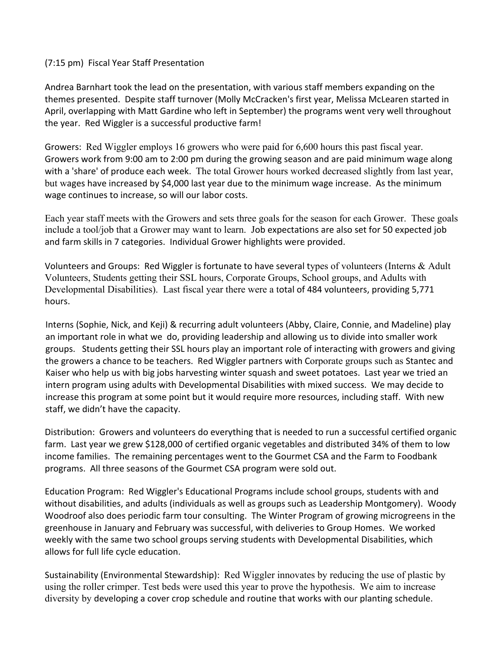#### (7:15 pm) Fiscal Year Staff Presentation

Andrea Barnhart took the lead on the presentation, with various staff members expanding on the themes presented. Despite staff turnover (Molly McCracken's first year, Melissa McLearen started in April, overlapping with Matt Gardine who left in September) the programs went very well throughout the year. Red Wiggler is a successful productive farm!

Growers: Red Wiggler employs 16 growers who were paid for 6,600 hours this past fiscal year. Growers work from 9:00 am to 2:00 pm during the growing season and are paid minimum wage along with a 'share' of produce each week. The total Grower hours worked decreased slightly from last year, but wages have increased by \$4,000 last year due to the minimum wage increase. As the minimum wage continues to increase, so will our labor costs.

Each year staff meets with the Growers and sets three goals for the season for each Grower. These goals include a tool/job that a Grower may want to learn. Job expectations are also set for 50 expected job and farm skills in 7 categories. Individual Grower highlights were provided.

Volunteers and Groups: Red Wiggler is fortunate to have several types of volunteers (Interns  $\&$  Adult Volunteers, Students getting their SSL hours, Corporate Groups, School groups, and Adults with Developmental Disabilities). Last fiscal year there were a total of 484 volunteers, providing 5,771 hours.

Interns (Sophie, Nick, and Keji) & recurring adult volunteers (Abby, Claire, Connie, and Madeline) play an important role in what we do, providing leadership and allowing us to divide into smaller work groups. Students getting their SSL hours play an important role of interacting with growers and giving the growers a chance to be teachers. Red Wiggler partners with Corporate groups such as Stantec and Kaiser who help us with big jobs harvesting winter squash and sweet potatoes. Last year we tried an intern program using adults with Developmental Disabilities with mixed success. We may decide to increase this program at some point but it would require more resources, including staff. With new staff, we didn't have the capacity.

Distribution: Growers and volunteers do everything that is needed to run a successful certified organic farm. Last year we grew \$128,000 of certified organic vegetables and distributed 34% of them to low income families. The remaining percentages went to the Gourmet CSA and the Farm to Foodbank programs. All three seasons of the Gourmet CSA program were sold out.

Education Program: Red Wiggler's Educational Programs include school groups, students with and without disabilities, and adults (individuals as well as groups such as Leadership Montgomery). Woody Woodroof also does periodic farm tour consulting. The Winter Program of growing microgreens in the greenhouse in January and February was successful, with deliveries to Group Homes. We worked weekly with the same two school groups serving students with Developmental Disabilities, which allows for full life cycle education.

Sustainability (Environmental Stewardship): Red Wiggler innovates by reducing the use of plastic by using the roller crimper. Test beds were used this year to prove the hypothesis. We aim to increase diversity by developing a cover crop schedule and routine that works with our planting schedule.